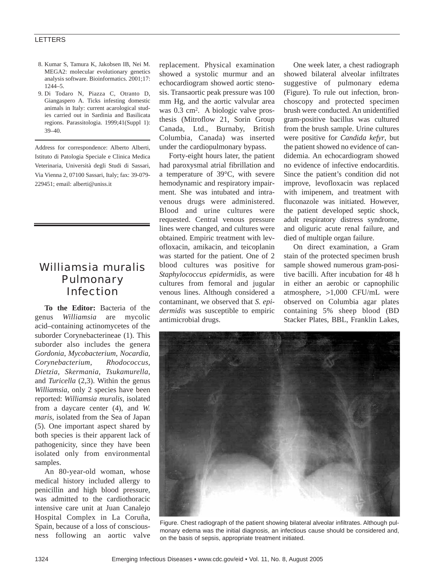## LETTERS

- 8. Kumar S, Tamura K, Jakobsen IB, Nei M. MEGA2: molecular evolutionary genetics analysis software. Bioinformatics. 2001;17: 1244–5.
- 9. Di Todaro N, Piazza C, Otranto D, Giangaspero A. Ticks infesting domestic animals in Italy: current acarological studies carried out in Sardinia and Basilicata regions. Parassitologia. 1999;41(Suppl 1): 39–40.

Address for correspondence: Alberto Alberti, Istituto di Patologia Speciale e Clinica Medica Veterinaria, Università degli Studi di Sassari, Via Vienna 2, 07100 Sassari, Italy; fax: 39-079- 229451; email: alberti@uniss.it

## *Williamsia muralis* **Pulmonary** Infection

**To the Editor:** Bacteria of the genus *Williamsia* are mycolic acid–containing actinomycetes of the suborder Corynebacterineae (1). This suborder also includes the genera *Gordonia*, *Mycobacterium*, *Nocardia*, *Corynebacterium*, *Rhodococcus*, *Dietzia*, *Skermania*, *Tsukamurella*, and *Turicella* (2,3). Within the genus *Williamsia*, only 2 species have been reported: *Williamsia muralis*, isolated from a daycare center (4), and *W. maris*, isolated from the Sea of Japan (5). One important aspect shared by both species is their apparent lack of pathogenicity, since they have been isolated only from environmental samples.

An 80-year-old woman, whose medical history included allergy to penicillin and high blood pressure, was admitted to the cardiothoracic intensive care unit at Juan Canalejo Hospital Complex in La Coruña, Spain, because of a loss of consciousness following an aortic valve

replacement. Physical examination showed a systolic murmur and an echocardiogram showed aortic stenosis. Transaortic peak pressure was 100 mm Hg, and the aortic valvular area was 0.3 cm<sup>2</sup>. A biologic valve prosthesis (Mitroflow 21, Sorin Group Canada, Ltd., Burnaby, British Columbia, Canada) was inserted under the cardiopulmonary bypass.

Forty-eight hours later, the patient had paroxysmal atrial fibrillation and a temperature of 39°C, with severe hemodynamic and respiratory impairment. She was intubated and intravenous drugs were administered. Blood and urine cultures were requested. Central venous pressure lines were changed, and cultures were obtained. Empiric treatment with levofloxacin, amikacin, and teicoplanin was started for the patient. One of 2 blood cultures was positive for *Staphylococcus epidermidis*, as were cultures from femoral and jugular venous lines. Although considered a contaminant, we observed that *S. epidermidis* was susceptible to empiric antimicrobial drugs.

One week later, a chest radiograph showed bilateral alveolar infiltrates suggestive of pulmonary edema (Figure). To rule out infection, bronchoscopy and protected specimen brush were conducted. An unidentified gram-positive bacillus was cultured from the brush sample. Urine cultures were positive for *Candida kefyr*, but the patient showed no evidence of candidemia. An echocardiogram showed no evidence of infective endocarditis. Since the patient's condition did not improve, levofloxacin was replaced with imipenem, and treatment with fluconazole was initiated. However, the patient developed septic shock, adult respiratory distress syndrome, and oliguric acute renal failure, and died of multiple organ failure.

On direct examination, a Gram stain of the protected specimen brush sample showed numerous gram-positive bacilli. After incubation for 48 h in either an aerobic or capnophilic atmosphere, >1,000 CFU/mL were observed on Columbia agar plates containing 5% sheep blood (BD Stacker Plates, BBL, Franklin Lakes,



Figure. Chest radiograph of the patient showing bilateral alveolar infiltrates. Although pulmonary edema was the initial diagnosis, an infectious cause should be considered and, on the basis of sepsis, appropriate treatment initiated.